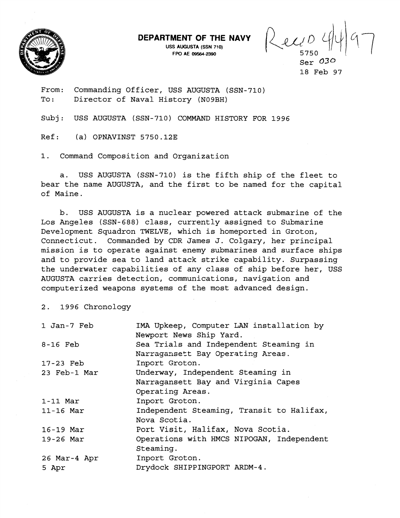

**DEPARTMENT OF THE NAVY** 

**USS AUGUSTA (SSN 710)** 

**MENT OF THE NAVY**  $\left\{\begin{matrix} 1 & 0 \\ 0 & 1 \end{matrix}\right\}$   $\left\{\begin{matrix} 1 & 0 \\ 0 & 0 \end{matrix}\right\}$ 

Ser *030*  18 Feb 97

From: Commanding Officer, USS AUGUSTA (SSN-710) To: Director of Naval History (N09BH)

Subj: USS AUGUSTA (SSN-710) COMMAND HISTORY FOR 1996

Ref: (a) OPNAVINST 5750.12E

1. Command Composition and Organization

a. USS AUGUSTA (SSN-710) is the fifth ship of the fleet to bear the name AUGUSTA, and the first to be named for the capital of Maine.

b. USS AUGUSTA is a nuclear powered attack submarine of the Los Angeles (SSN-688) class, currently assigned to Submarine Development Squadron TWELVE, which is homeported in Groton, Connecticut. Commanded by CDR James J. Colgary, her principal mission is to operate against enemy submarines and surface ships and to provide sea to land attack strike capability. Surpassing the underwater capabilities of any class of ship before her, USS AUGUSTA carries detection, communications, navigation and computerized weapons systems of the most advanced design.

2. 1996 Chronology

| 1 Jan-7 Feb  | IMA Upkeep, Computer LAN installation by  |
|--------------|-------------------------------------------|
|              | Newport News Ship Yard.                   |
| $8-16$ Feb   | Sea Trials and Independent Steaming in    |
|              | Narragansett Bay Operating Areas.         |
| 17-23 Feb    | Inport Groton.                            |
| 23 Feb-1 Mar | Underway, Independent Steaming in         |
|              | Narragansett Bay and Virginia Capes       |
|              | Operating Areas.                          |
| $1-11$ Mar   | Inport Groton.                            |
| $11-16$ Mar  | Independent Steaming, Transit to Halifax, |
|              | Nova Scotia.                              |
| $16-19$ Mar  | Port Visit, Halifax, Nova Scotia.         |
| $19-26$ Mar  | Operations with HMCS NIPOGAN, Independent |
|              | Steaming.                                 |
| 26 Mar-4 Apr | Inport Groton.                            |
| 5 Apr        | Drydock SHIPPINGPORT ARDM-4.              |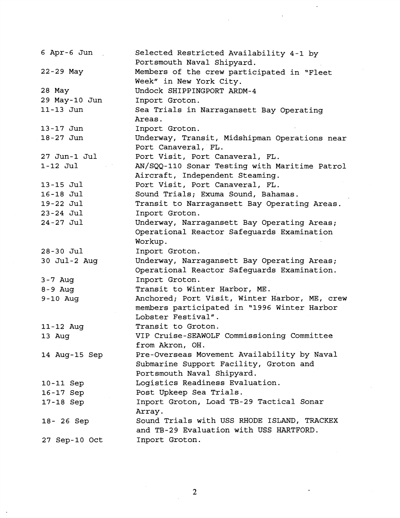| $6$ Apr- $6$ Jun | Selected Restricted Availability 4-1 by<br>Portsmouth Naval Shipyard. |
|------------------|-----------------------------------------------------------------------|
| 22-29 May        | Members of the crew participated in "Fleet                            |
|                  | Week" in New York City.                                               |
| 28 May           | Undock SHIPPINGPORT ARDM-4                                            |
| 29 May-10 Jun    | Inport Groton.                                                        |
| 11-13 Jun        | Sea Trials in Narragansett Bay Operating                              |
|                  | Areas.                                                                |
| 13-17 Jun        | Inport Groton.                                                        |
| 18-27 Jun        | Underway, Transit, Midshipman Operations near                         |
|                  | Port Canaveral, FL.                                                   |
| 27 Jun-1 Jul     | Port Visit, Port Canaveral, FL.                                       |
| $1-12$ Jul       | AN/SQQ-110 Sonar Testing with Maritime Patrol                         |
|                  | Aircraft, Independent Steaming.                                       |
| 13-15 Jul        | Port Visit, Port Canaveral, FL.                                       |
| 16-18 Jul        | Sound Trials; Exuma Sound, Bahamas.                                   |
| 19-22 Jul        | Transit to Narragansett Bay Operating Areas.                          |
| 23-24 Jul        | Inport Groton.                                                        |
| $24 - 27$ Jul    | Underway, Narragansett Bay Operating Areas;                           |
|                  | Operational Reactor Safeguards Examination                            |
|                  | Workup.                                                               |
| $28 - 30$ Jul    | Inport Groton.                                                        |
| 30 Jul-2 Aug     | Underway, Narragansett Bay Operating Areas;                           |
|                  | Operational Reactor Safeguards Examination.                           |
| $3 - 7$ Aug      | Inport Groton.                                                        |
| $8 - 9$ Aug      | Transit to Winter Harbor, ME.                                         |
| $9-10$ Aug       | Anchored; Port Visit, Winter Harbor, ME, crew                         |
|                  | members participated in "1996 Winter Harbor                           |
|                  | Lobster Festival".                                                    |
| 11-12 Aug        | Transit to Groton.                                                    |
| 13 Aug           | VIP Cruise-SEAWOLF Commissioning Committee                            |
|                  | from Akron, OH.                                                       |
| 14 Aug-15 Sep    | Pre-Overseas Movement Availability by Naval                           |
|                  | Submarine Support Facility, Groton and                                |
|                  | Portsmouth Naval Shipyard.                                            |
| 10-11 Sep        | Logistics Readiness Evaluation.                                       |
| 16-17 Sep        | Post Upkeep Sea Trials.                                               |
| 17-18 Sep        | Inport Groton, Load TB-29 Tactical Sonar                              |
|                  | Array.                                                                |
| 18- 26 Sep       | Sound Trials with USS RHODE ISLAND, TRACKEX                           |
|                  | and TB-29 Evaluation with USS HARTFORD.                               |
| 27 Sep-10 Oct    | Inport Groton.                                                        |

 $\mathcal{L}_{\mathcal{A}}$  .

 $\mathcal{L}$ 

 $\frac{1}{2}$ 

 $\frac{1}{2}$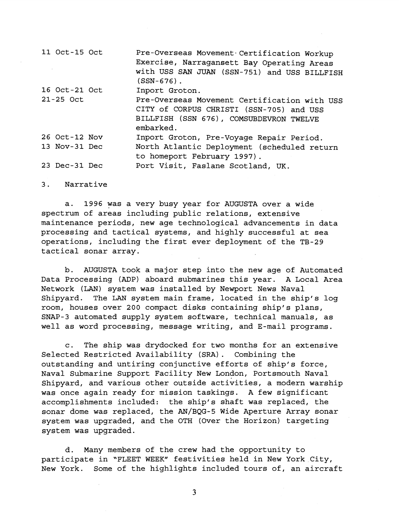| 11 Oct-15 Oct | Pre-Overseas Movement Certification Workup<br>Exercise, Narragansett Bay Operating Areas<br>with USS SAN JUAN (SSN-751) and USS BILLFISH<br>$(SSN-676)$ . |
|---------------|-----------------------------------------------------------------------------------------------------------------------------------------------------------|
| 16 Oct-21 Oct | Inport Groton.                                                                                                                                            |
| 21-25 Oct     | Pre-Overseas Movement Certification with USS<br>CITY of CORPUS CHRISTI (SSN-705) and USS<br>BILLFISH (SSN 676), COMSUBDEVRON TWELVE<br>embarked.          |
| 26 Oct-12 Nov | Inport Groton, Pre-Voyage Repair Period.                                                                                                                  |
| 13 Nov-31 Dec | North Atlantic Deployment (scheduled return<br>to homeport February 1997).                                                                                |
| 23 Dec-31 Dec | Port Visit, Faslane Scotland, UK.                                                                                                                         |

3. Narrative

a. 1996 was a very busy year for AUGUSTA over a wide spectrum of areas including public relations, extensive maintenance periods, new age technological advancements in data processing and tactical systems, and highly successful at sea operations, including the first ever deployment of the TB-29 tactical sonar array.

b. AUGUSTA took a major step into the new age of Automated Data Processing (ADP) aboard submarines this year. A Local Area Network (LAN) system was installed by Newport News Naval Shipyard. The LAN system main frame, located in the ship's log room, houses over 200 compact disks containing ship's plans, SNAP-3 automated supply system software, technical manuals, as well as word processing, message writing, and E-mail programs.

c. The ship was drydocked for two months for an extensive Selected Restricted Availability (SRA) . Combining the outstanding and untiring conjunctive efforts of ship's force, Naval Submarine Support Facility New London, Portsmouth Naval Shipyard, and various other outside activities, a modern warship was once again ready for mission taskings. A few significant accomplishments included: the ship's shaft was replaced, the sonar dome was replaced, the AN/BQG-5 Wide Aperture Array sonar system was upgraded, and the OTH (Over the Horizon) targeting system was upgraded.

d. Many members of the crew had the opportunity to participate in "FLEET WEEK" festivities held in New York City, New York. Some of the highlights included tours of, an aircraft

3